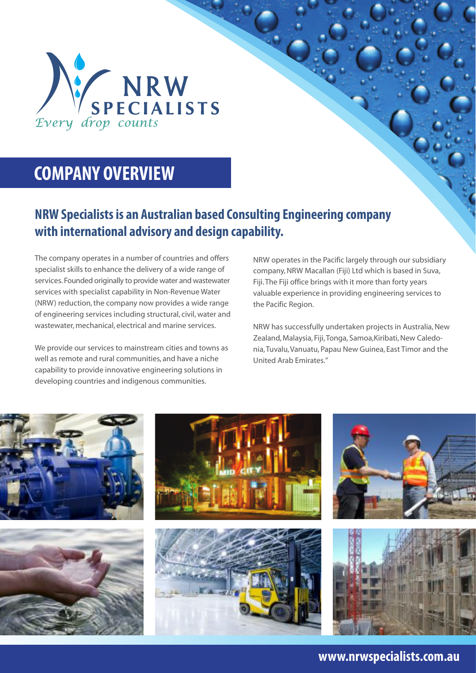

# **COMPANY OVERVIEW**

# **NRW Specialists is an Australian based Consulting Engineering company with international advisory and design capability.**

The company operates in a number of countries and offers specialist skills to enhance the delivery of a wide range of services. Founded originally to provide water and wastewater services with specialist capability in Non-Revenue Water (NRW) reduction, the company now provides a wide range of engineering services including structural, civil, water and wastewater, mechanical, electrical and marine services.

We provide our services to mainstream cities and towns as well as remote and rural communities, and have a niche capability to provide innovative engineering solutions in developing countries and indigenous communities.

NRW operates in the Pacific largely through our subsidiary company, NRW Macallan (Fiji) Ltd which is based in Suva, Fiji. The Fiji office brings with it more than forty years valuable experience in providing engineering services to the Pacific Region.

NRW has successfully undertaken projects in Australia, New Zealand, Malaysia, Fiji, Tonga, Samoa,Kiribati, New Caledonia, Tuvalu, Vanuatu, Papau New Guinea, East Timor and the United Arab Emirates."

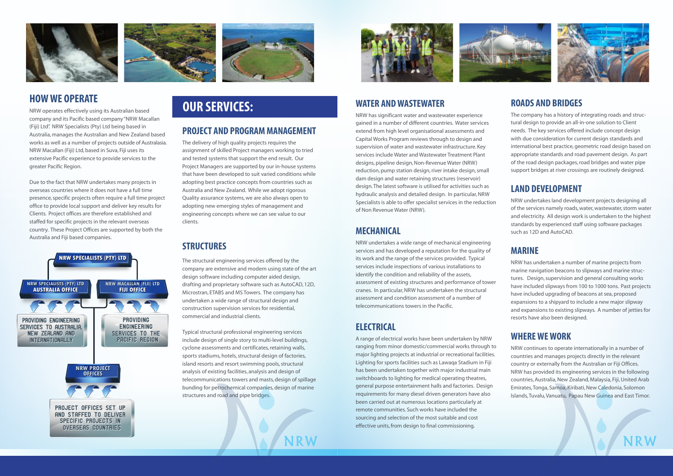### **WATER AND WASTEWATER**

NRW has significant water and wastewater experience gained in a number of different countries. Water services extend from high level organisational assessments and Capital Works Program reviews through to design and supervision of water and wastewater infrastructure. Key services include Water and Wastewater Treatment Plant designs, pipeline design, Non-Revenue Water (NRW) reduction, pump station design, river intake design, small dam design and water retaining structures (reservoir) design. The latest software is utilised for activities such as hydraulic analysis and detailed design. In particular, NRW Specialists is able to offer specialist services in the reduction of Non Revenue Water (NRW).

# **MECHANICAL**

NRW undertakes a wide range of mechanical engineering services and has developed a reputation for the quality of its work and the range of the services provided. Typical services include inspections of various installations to identify the condition and reliability of the assets, assessment of existing structures and performance of tower cranes. In particular, NRW has undertaken the structural assessment and condition assessment of a number of telecommunications towers in the Pacific.

# **ELECTRICAL**

A range of electrical works have been undertaken by NRW ranging from minor domestic/commercial works through to major lighting projects at industrial or recreational facilities. Lighting for sports facilities such as Lawaqa Stadium in Fiji has been undertaken together with major industrial main switchboards to lighting for medical operating theatres, general purpose entertainment halls and factories. Design requirements for many diesel driven generators have also been carried out at numerous locations particularly at remote communities. Such works have included the sourcing and selection of the most suitable and cost effective units, from design to final commissioning.



#### **ROADS AND B**

The company has a tural design to prov needs. The key serv with due considerat  $interactions$  best p appropriate standal of the road design particles support bridges at

# **LAND DEVELO**

NRW undertakes land of the services nam and electricity. All o standards by experi such as 12D and Au

# **MARINE**

NRW has undertake marine navigation tures. Design, supe have included slipw have included upqi expansions to a ship and expansions to resorts have also be

# **WHERE WE W**

NRW continues to countries and mana country or external NRW has provided countries, Australia, Emirates, Tonga, Sai Islands, Tuvalu, Vanu









NRW operates effectively using its Australian based company and its Pacific based company "NRW Macallan (Fiji) Ltd". NRW Specialists (Pty) Ltd being based in Australia, manages the Australian and New Zealand based works as well as a number of projects outside of Australasia. NRW Macallan (Fiji) Ltd, based in Suva, Fiji uses its extensive Pacific experience to provide services to the greater Pacific Region.

Due to the fact that NRW undertakes many projects in overseas countries where it does not have a full time presence, specific projects often require a full time project office to provide local support and deliver key results for Clients. Project offices are therefore established and staffed for specific projects in the relevant overseas country. These Project Offices are supported by both the Australia and Fiji based companies.

#### **PROJECT AND PROGRAM MANAGEMENT**

The delivery of high quality projects requires the assignment of skilled Project managers working to tried and tested systems that support the end result. Our Project Managers are supported by our in-house systems that have been developed to suit varied conditions while adopting best practice concepts from countries such as Australia and New Zealand. While we adopt rigorous Quality assurance systems, we are also always open to adopting new emerging styles of management and engineering concepts where we can see value to our clients.

# **STRUCTURES**

The structural engineering services offered by the company are extensive and modern using state of the art design software including computer aided design, drafting and proprietary software such as AutoCAD, 12D, Microstran, ETABS and MS Towers. The company has undertaken a wide range of structural design and construction supervision services for residential, commercial and industrial clients.

Typical structural professional engineering services include design of single story to multi-level buildings, cyclone assessments and certificates, retaining walls, sports stadiums, hotels, structural design of factories, island resorts and resort swimming pools, structural analysis of existing facilities, analysis and design of telecommunications towers and masts, design of spillage bunding for petrochemical companies, design of marine structures and road and pipe bridges.

NRW





# **HOW WE OPERATE**<br>NRW operates effectively using its Australian based<br>**OUR SERVICES:**